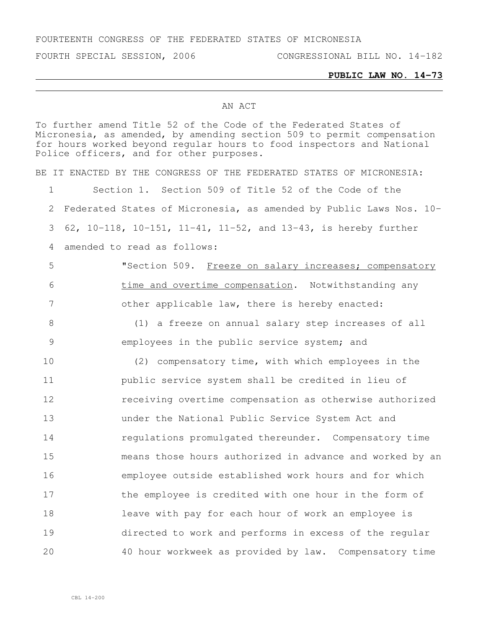FOURTEENTH CONGRESS OF THE FEDERATED STATES OF MICRONESIA

FOURTH SPECIAL SESSION, 2006 CONGRESSIONAL BILL NO. 14-182

## **PUBLIC LAW NO. 14-73**

## AN ACT

To further amend Title 52 of the Code of the Federated States of Micronesia, as amended, by amending section 509 to permit compensation for hours worked beyond regular hours to food inspectors and National Police officers, and for other purposes. BE IT ENACTED BY THE CONGRESS OF THE FEDERATED STATES OF MICRONESIA: Section 1. Section 509 of Title 52 of the Code of the Federated States of Micronesia, as amended by Public Laws Nos. 10- 62, 10-118, 10-151, 11-41, 11-52, and 13-43, is hereby further amended to read as follows: 5 "Section 509. Freeze on salary increases; compensatory time and overtime compensation. Notwithstanding any other applicable law, there is hereby enacted: (1) a freeze on annual salary step increases of all employees in the public service system; and (2) compensatory time, with which employees in the public service system shall be credited in lieu of receiving overtime compensation as otherwise authorized under the National Public Service System Act and **regulations promulgated thereunder.** Compensatory time means those hours authorized in advance and worked by an employee outside established work hours and for which 17 the employee is credited with one hour in the form of leave with pay for each hour of work an employee is directed to work and performs in excess of the regular 40 hour workweek as provided by law. Compensatory time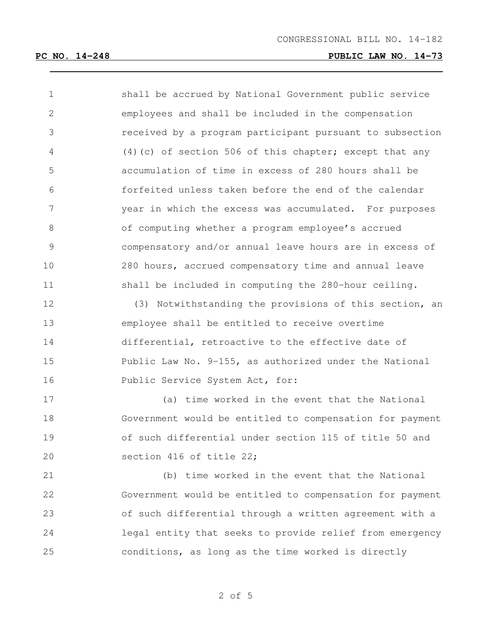| $\mathbf 1$     | shall be accrued by National Government public service   |
|-----------------|----------------------------------------------------------|
| $\mathbf{2}$    | employees and shall be included in the compensation      |
| 3               | received by a program participant pursuant to subsection |
| $\overline{4}$  | (4) (c) of section 506 of this chapter; except that any  |
| 5               | accumulation of time in excess of 280 hours shall be     |
| 6               | forfeited unless taken before the end of the calendar    |
| $7\phantom{.0}$ | year in which the excess was accumulated. For purposes   |
| $\,8\,$         | of computing whether a program employee's accrued        |
| $\mathcal{G}$   | compensatory and/or annual leave hours are in excess of  |
| 10              | 280 hours, accrued compensatory time and annual leave    |
| 11              | shall be included in computing the 280-hour ceiling.     |
| 12              | (3) Notwithstanding the provisions of this section, an   |
| 13              | employee shall be entitled to receive overtime           |
| 14              | differential, retroactive to the effective date of       |
| 15              | Public Law No. 9-155, as authorized under the National   |
| 16              | Public Service System Act, for:                          |
| 17              | (a) time worked in the event that the National           |
| 18              | Government would be entitled to compensation for payment |
| 19              | of such differential under section 115 of title 50 and   |
| 20              | section 416 of title 22;                                 |
| 21              | (b) time worked in the event that the National           |
| 22              | Government would be entitled to compensation for payment |
| 23              | of such differential through a written agreement with a  |
| 24              | legal entity that seeks to provide relief from emergency |

conditions, as long as the time worked is directly

of 5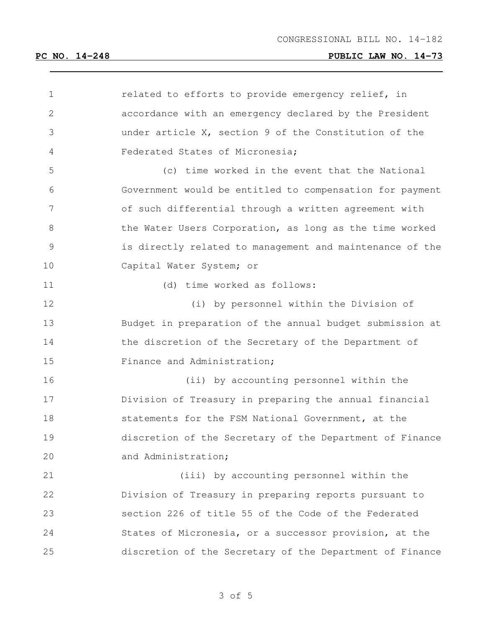| $\mathbf 1$     | related to efforts to provide emergency relief, in       |
|-----------------|----------------------------------------------------------|
| $\mathbf{2}$    | accordance with an emergency declared by the President   |
| 3               | under article X, section 9 of the Constitution of the    |
| 4               | Federated States of Micronesia;                          |
| 5               | (c) time worked in the event that the National           |
| 6               | Government would be entitled to compensation for payment |
| $7\phantom{.0}$ | of such differential through a written agreement with    |
| $8\,$           | the Water Users Corporation, as long as the time worked  |
| 9               | is directly related to management and maintenance of the |
| 10              | Capital Water System; or                                 |
| 11              | (d) time worked as follows:                              |
| 12              | (i) by personnel within the Division of                  |
| 13              | Budget in preparation of the annual budget submission at |
| 14              | the discretion of the Secretary of the Department of     |
| 15              | Finance and Administration;                              |
| 16              | (ii) by accounting personnel within the                  |
| 17              | Division of Treasury in preparing the annual financial   |
| 18              | statements for the FSM National Government, at the       |
| 19              | discretion of the Secretary of the Department of Finance |
| 20              | and Administration;                                      |
| 21              | (iii) by accounting personnel within the                 |
| 22              | Division of Treasury in preparing reports pursuant to    |
| 23              | section 226 of title 55 of the Code of the Federated     |
| 24              | States of Micronesia, or a successor provision, at the   |
| 25              | discretion of the Secretary of the Department of Finance |

of 5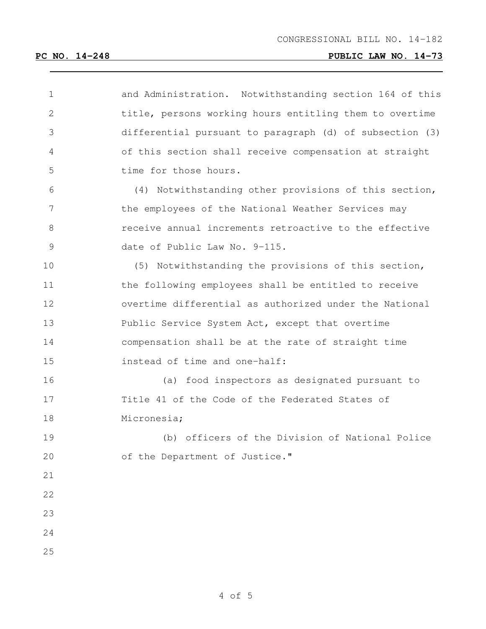## **PC NO. 14-248 PUBLIC LAW NO. 14-73**

| $\mathbf 1$    | and Administration. Notwithstanding section 164 of this  |
|----------------|----------------------------------------------------------|
| $\mathbf{2}$   | title, persons working hours entitling them to overtime  |
| 3              | differential pursuant to paragraph (d) of subsection (3) |
| $\overline{4}$ | of this section shall receive compensation at straight   |
| 5              | time for those hours.                                    |
| 6              | (4) Notwithstanding other provisions of this section,    |
| 7              | the employees of the National Weather Services may       |
| 8              | receive annual increments retroactive to the effective   |
| 9              | date of Public Law No. 9-115.                            |
| 10             | (5) Notwithstanding the provisions of this section,      |
| 11             | the following employees shall be entitled to receive     |
| 12             | overtime differential as authorized under the National   |
| 13             | Public Service System Act, except that overtime          |
| 14             | compensation shall be at the rate of straight time       |
| 15             | instead of time and one-half:                            |
| 16             | (a) food inspectors as designated pursuant to            |
| 17             | Title 41 of the Code of the Federated States of          |
| 18             | Micronesia;                                              |
| 19             | (b) officers of the Division of National Police          |
| 20             | of the Department of Justice."                           |
| 21             |                                                          |
| 22             |                                                          |
| 23             |                                                          |
| 24             |                                                          |
| 25             |                                                          |